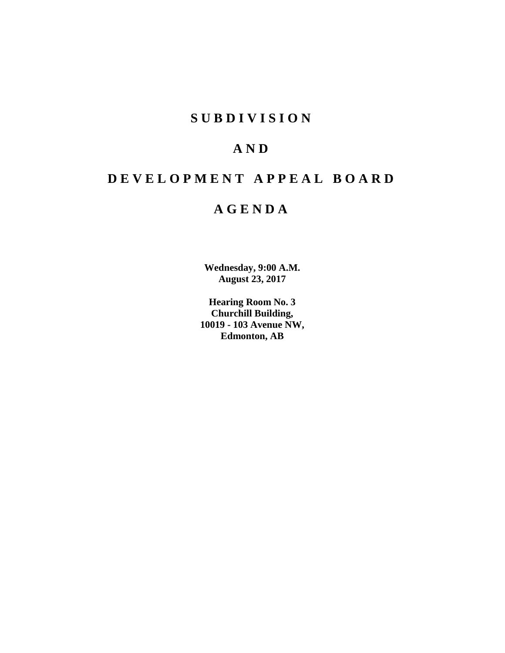# **SUBDIVISION**

# **AND**

# **DEVELOPMENT APPEAL BOARD**

# **AGENDA**

**Wednesday, 9:00 A.M. August 23, 2017**

**Hearing Room No. 3 Churchill Building, 10019 - 103 Avenue NW, Edmonton, AB**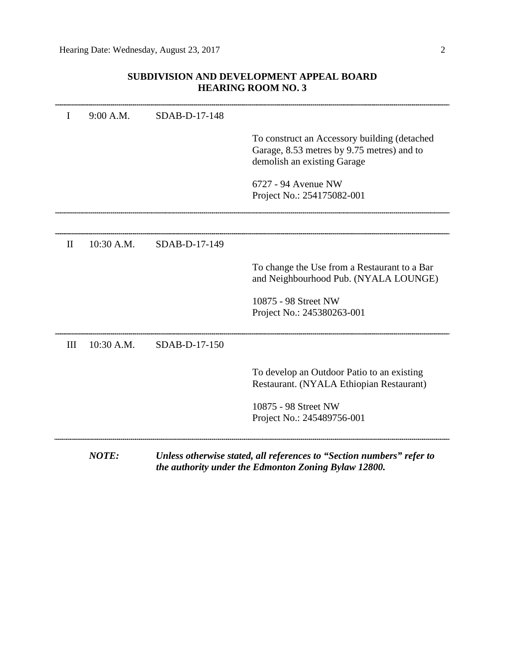# **SUBDIVISION AND DEVELOPMENT APPEAL BOARD HEARING ROOM NO. 3**

|              | <b>NOTE:</b> |               | Unless otherwise stated, all references to "Section numbers" refer to<br>the authority under the Edmonton Zoning Bylaw 12800. |
|--------------|--------------|---------------|-------------------------------------------------------------------------------------------------------------------------------|
|              |              |               | 10875 - 98 Street NW<br>Project No.: 245489756-001                                                                            |
|              |              |               | To develop an Outdoor Patio to an existing<br>Restaurant. (NYALA Ethiopian Restaurant)                                        |
| III          | 10:30 A.M.   | SDAB-D-17-150 |                                                                                                                               |
|              |              |               | 10875 - 98 Street NW<br>Project No.: 245380263-001                                                                            |
|              |              |               | To change the Use from a Restaurant to a Bar<br>and Neighbourhood Pub. (NYALA LOUNGE)                                         |
| $\mathbf{I}$ | 10:30 A.M.   | SDAB-D-17-149 |                                                                                                                               |
|              |              |               |                                                                                                                               |
|              |              |               | 6727 - 94 Avenue NW<br>Project No.: 254175082-001                                                                             |
|              |              |               | To construct an Accessory building (detached<br>Garage, 8.53 metres by 9.75 metres) and to<br>demolish an existing Garage     |
| I            | 9:00 A.M.    | SDAB-D-17-148 |                                                                                                                               |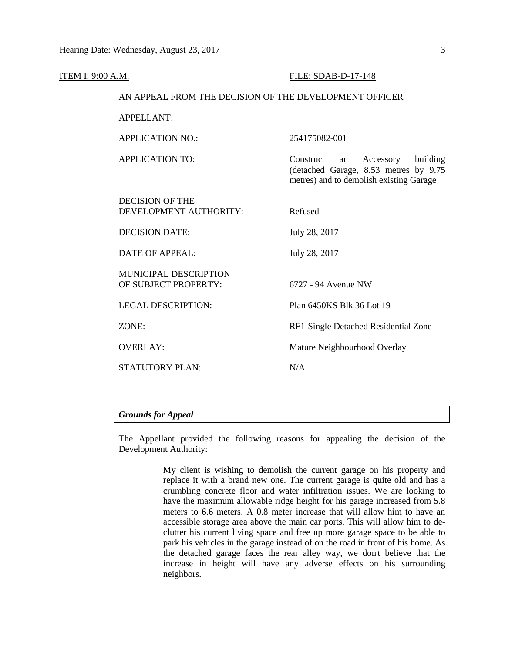| <b>ITEM I: 9:00 A.M.</b> |                                                        | FILE: SDAB-D-17-148                                                                                                          |  |  |  |
|--------------------------|--------------------------------------------------------|------------------------------------------------------------------------------------------------------------------------------|--|--|--|
|                          | AN APPEAL FROM THE DECISION OF THE DEVELOPMENT OFFICER |                                                                                                                              |  |  |  |
|                          | <b>APPELLANT:</b>                                      |                                                                                                                              |  |  |  |
|                          | <b>APPLICATION NO.:</b>                                | 254175082-001                                                                                                                |  |  |  |
|                          | <b>APPLICATION TO:</b>                                 | Construct<br>building<br>Accessory<br>an<br>(detached Garage, 8.53 metres by 9.75<br>metres) and to demolish existing Garage |  |  |  |
|                          | <b>DECISION OF THE</b><br>DEVELOPMENT AUTHORITY:       | Refused                                                                                                                      |  |  |  |
|                          | <b>DECISION DATE:</b>                                  | July 28, 2017                                                                                                                |  |  |  |
|                          | <b>DATE OF APPEAL:</b>                                 | July 28, 2017                                                                                                                |  |  |  |
|                          | MUNICIPAL DESCRIPTION<br>OF SUBJECT PROPERTY:          | 6727 - 94 Avenue NW                                                                                                          |  |  |  |
|                          | <b>LEGAL DESCRIPTION:</b>                              | Plan 6450KS Blk 36 Lot 19                                                                                                    |  |  |  |
|                          | ZONE:                                                  | RF1-Single Detached Residential Zone                                                                                         |  |  |  |
|                          | <b>OVERLAY:</b>                                        | Mature Neighbourhood Overlay                                                                                                 |  |  |  |
|                          | <b>STATUTORY PLAN:</b>                                 | N/A                                                                                                                          |  |  |  |
|                          |                                                        |                                                                                                                              |  |  |  |

# *Grounds for Appeal*

The Appellant provided the following reasons for appealing the decision of the Development Authority:

> My client is wishing to demolish the current garage on his property and replace it with a brand new one. The current garage is quite old and has a crumbling concrete floor and water infiltration issues. We are looking to have the maximum allowable ridge height for his garage increased from 5.8 meters to 6.6 meters. A 0.8 meter increase that will allow him to have an accessible storage area above the main car ports. This will allow him to declutter his current living space and free up more garage space to be able to park his vehicles in the garage instead of on the road in front of his home. As the detached garage faces the rear alley way, we don't believe that the increase in height will have any adverse effects on his surrounding neighbors.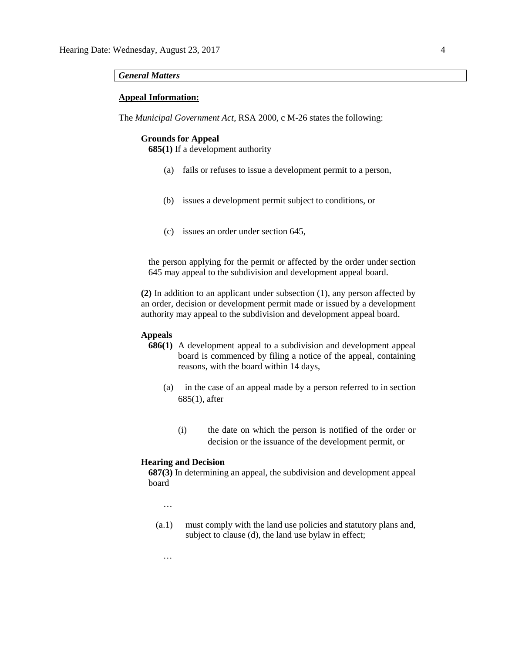#### *General Matters*

#### **Appeal Information:**

The *Municipal Government Act*, RSA 2000, c M-26 states the following:

#### **Grounds for Appeal**

**685(1)** If a development authority

- (a) fails or refuses to issue a development permit to a person,
- (b) issues a development permit subject to conditions, or
- (c) issues an order under section 645,

the person applying for the permit or affected by the order under section 645 may appeal to the subdivision and development appeal board.

**(2)** In addition to an applicant under subsection (1), any person affected by an order, decision or development permit made or issued by a development authority may appeal to the subdivision and development appeal board.

# **Appeals**

- **686(1)** A development appeal to a subdivision and development appeal board is commenced by filing a notice of the appeal, containing reasons, with the board within 14 days,
	- (a) in the case of an appeal made by a person referred to in section 685(1), after
		- (i) the date on which the person is notified of the order or decision or the issuance of the development permit, or

## **Hearing and Decision**

**687(3)** In determining an appeal, the subdivision and development appeal board

…

…

(a.1) must comply with the land use policies and statutory plans and, subject to clause (d), the land use bylaw in effect;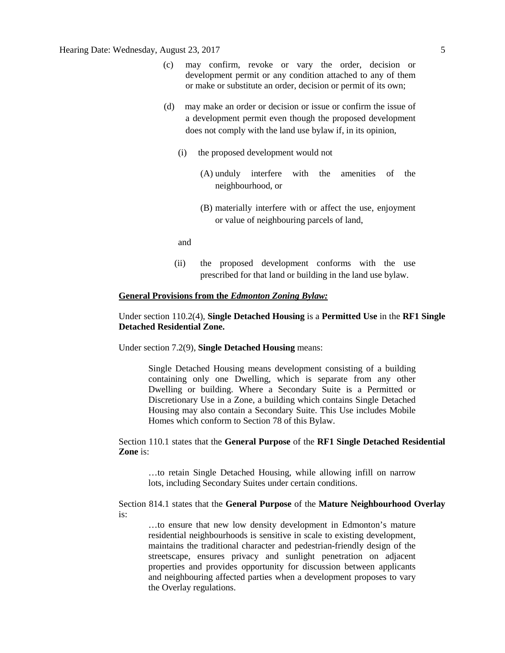# Hearing Date: Wednesday, August 23, 2017 5

- (c) may confirm, revoke or vary the order, decision or development permit or any condition attached to any of them or make or substitute an order, decision or permit of its own;
- (d) may make an order or decision or issue or confirm the issue of a development permit even though the proposed development does not comply with the land use bylaw if, in its opinion,
	- (i) the proposed development would not
		- (A) unduly interfere with the amenities of the neighbourhood, or
		- (B) materially interfere with or affect the use, enjoyment or value of neighbouring parcels of land,

and

(ii) the proposed development conforms with the use prescribed for that land or building in the land use bylaw.

#### **General Provisions from the** *Edmonton Zoning Bylaw:*

# Under section 110.2(4), **Single Detached Housing** is a **Permitted Use** in the **RF1 Single Detached Residential Zone.**

Under section 7.2(9), **Single Detached Housing** means:

Single Detached Housing means development consisting of a building containing only one Dwelling, which is separate from any other Dwelling or building. Where a Secondary Suite is a Permitted or Discretionary Use in a Zone, a building which contains Single Detached Housing may also contain a Secondary Suite. This Use includes Mobile Homes which conform to Section 78 of this Bylaw.

Section 110.1 states that the **General Purpose** of the **RF1 Single Detached Residential Zone** is:

…to retain Single Detached Housing, while allowing infill on narrow lots, including Secondary Suites under certain conditions.

Section 814.1 states that the **General Purpose** of the **Mature Neighbourhood Overlay**  is:

…to ensure that new low density development in Edmonton's mature residential neighbourhoods is sensitive in scale to existing development, maintains the traditional character and pedestrian-friendly design of the streetscape, ensures privacy and sunlight penetration on adjacent properties and provides opportunity for discussion between applicants and neighbouring affected parties when a development proposes to vary the Overlay regulations.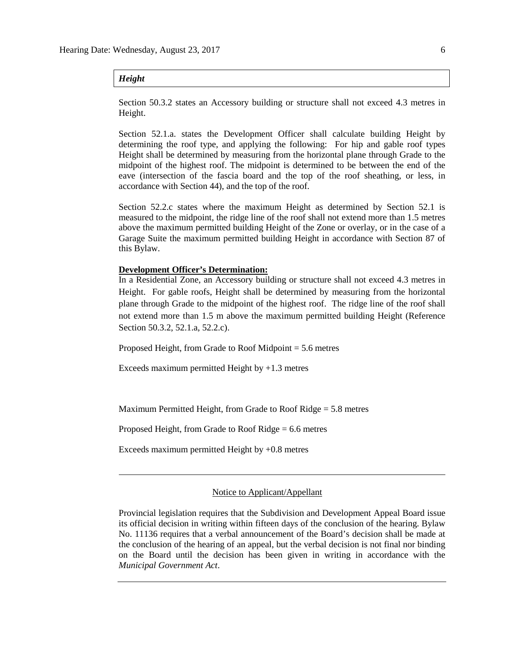### *Height*

Section 50.3.2 states an Accessory building or structure shall not exceed 4.3 metres in Height.

Section 52.1.a. states the Development Officer shall calculate building Height by determining the roof type, and applying the following: For hip and gable roof types Height shall be determined by measuring from the horizontal plane through Grade to the midpoint of the highest roof. The midpoint is determined to be between the end of the eave (intersection of the fascia board and the top of the roof sheathing, or less, in accordance with Section 44), and the top of the roof.

Section 52.2.c states where the maximum Height as determined by Section 52.1 is measured to the midpoint, the ridge line of the roof shall not extend more than 1.5 metres above the maximum permitted building Height of the Zone or overlay, or in the case of a Garage Suite the maximum permitted building Height in accordance with Section 87 of this Bylaw.

### **Development Officer's Determination:**

In a Residential Zone, an Accessory building or structure shall not exceed 4.3 metres in Height. For gable roofs, Height shall be determined by measuring from the horizontal plane through Grade to the midpoint of the highest roof. The ridge line of the roof shall not extend more than 1.5 m above the maximum permitted building Height (Reference Section 50.3.2, 52.1.a, 52.2.c).

Proposed Height, from Grade to Roof Midpoint = 5.6 metres

Exceeds maximum permitted Height by  $+1.3$  metres

Maximum Permitted Height, from Grade to Roof Ridge = 5.8 metres

Proposed Height, from Grade to Roof Ridge = 6.6 metres

Exceeds maximum permitted Height by +0.8 metres

#### Notice to Applicant/Appellant

Provincial legislation requires that the Subdivision and Development Appeal Board issue its official decision in writing within fifteen days of the conclusion of the hearing. Bylaw No. 11136 requires that a verbal announcement of the Board's decision shall be made at the conclusion of the hearing of an appeal, but the verbal decision is not final nor binding on the Board until the decision has been given in writing in accordance with the *Municipal Government Act*.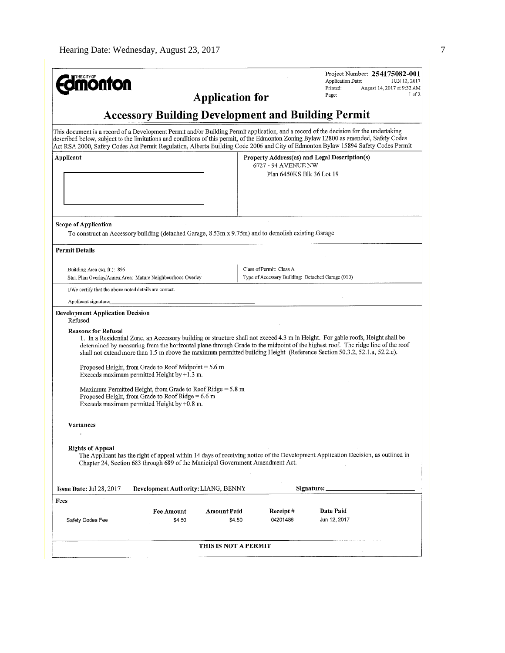| <b>nonton</b>                                                                                                                                                                                                                                                                                                                                                                                                                                                                                                                                                                                 | <b>Application for</b> |                                                                               | Application Date:<br>Printed:<br>Page:        | Project Number: 254175082-001<br>JUN 12, 2017<br>August 14, 2017 at 9:32 AM<br>$1$ of $2$ |
|-----------------------------------------------------------------------------------------------------------------------------------------------------------------------------------------------------------------------------------------------------------------------------------------------------------------------------------------------------------------------------------------------------------------------------------------------------------------------------------------------------------------------------------------------------------------------------------------------|------------------------|-------------------------------------------------------------------------------|-----------------------------------------------|-------------------------------------------------------------------------------------------|
| <b>Accessory Building Development and Building Permit</b>                                                                                                                                                                                                                                                                                                                                                                                                                                                                                                                                     |                        |                                                                               |                                               |                                                                                           |
| This document is a record of a Development Permit and/or Building Permit application, and a record of the decision for the undertaking<br>described below, subject to the limitations and conditions of this permit, of the Edmonton Zoning Bylaw 12800 as amended, Safety Codes<br>Act RSA 2000, Safety Codes Act Permit Regulation, Alberta Building Code 2006 and City of Edmonton Bylaw 15894 Safety Codes Permit                                                                                                                                                                         |                        |                                                                               |                                               |                                                                                           |
| Applicant                                                                                                                                                                                                                                                                                                                                                                                                                                                                                                                                                                                     |                        | 6727 - 94 AVENUE NW<br>Plan 6450KS Blk 36 Lot 19                              | Property Address(es) and Legal Description(s) |                                                                                           |
| <b>Scope of Application</b><br>To construct an Accessory building (detached Garage, 8.53m x 9.75m) and to demolish existing Garage                                                                                                                                                                                                                                                                                                                                                                                                                                                            |                        |                                                                               |                                               |                                                                                           |
| <b>Permit Details</b>                                                                                                                                                                                                                                                                                                                                                                                                                                                                                                                                                                         |                        |                                                                               |                                               |                                                                                           |
| Building Area (sq. ft.): 896<br>Stat. Plan Overlay/Annex Area: Mature Neighbourhood Overlay                                                                                                                                                                                                                                                                                                                                                                                                                                                                                                   |                        | Class of Permit: Class A<br>Type of Accessory Building: Detached Garage (010) |                                               |                                                                                           |
| I/We certify that the above noted details are correct.                                                                                                                                                                                                                                                                                                                                                                                                                                                                                                                                        |                        |                                                                               |                                               |                                                                                           |
| Applicant signature:                                                                                                                                                                                                                                                                                                                                                                                                                                                                                                                                                                          |                        |                                                                               |                                               |                                                                                           |
| <b>Development Application Decision</b><br>Refused<br><b>Reasons for Refusal</b><br>1. In a Residential Zone, an Accessory building or structure shall not exceed 4.3 m in Height. For gable roofs, Height shall be<br>determined by measuring from the horizontal plane through Grade to the midpoint of the highest roof. The ridge line of the roof<br>shall not extend more than 1.5 m above the maximum permitted building Height (Reference Section 50.3.2, 52.1.a, 52.2.c).<br>Proposed Height, from Grade to Roof Midpoint $= 5.6$ m<br>Exceeds maximum permitted Height by $+1.3$ m. |                        |                                                                               |                                               |                                                                                           |
| Maximum Permitted Height, from Grade to Roof Ridge $= 5.8$ m<br>Proposed Height, from Grade to Roof Ridge = $6.6$ m<br>Exceeds maximum permitted Height by $+0.8$ m.                                                                                                                                                                                                                                                                                                                                                                                                                          |                        |                                                                               |                                               |                                                                                           |
| Variances                                                                                                                                                                                                                                                                                                                                                                                                                                                                                                                                                                                     |                        |                                                                               |                                               |                                                                                           |
| <b>Rights of Appeal</b><br>The Applicant has the right of appeal within 14 days of receiving notice of the Development Application Decision, as outlined in<br>Chapter 24, Section 683 through 689 of the Municipal Government Amendment Act.                                                                                                                                                                                                                                                                                                                                                 |                        |                                                                               |                                               |                                                                                           |
| Development Authority: LIANG, BENNY<br>Issue Date: Jul 28, 2017                                                                                                                                                                                                                                                                                                                                                                                                                                                                                                                               |                        |                                                                               | Signature:                                    |                                                                                           |
| Fees                                                                                                                                                                                                                                                                                                                                                                                                                                                                                                                                                                                          |                        |                                                                               |                                               |                                                                                           |
| <b>Fee Amount</b><br>\$4.50<br>Safety Codes Fee                                                                                                                                                                                                                                                                                                                                                                                                                                                                                                                                               | Amount Paid<br>\$4.50  | Receipt #<br>04201486                                                         | Date Paid<br>Jun 12, 2017                     |                                                                                           |
|                                                                                                                                                                                                                                                                                                                                                                                                                                                                                                                                                                                               | THIS IS NOT A PERMIT   |                                                                               |                                               |                                                                                           |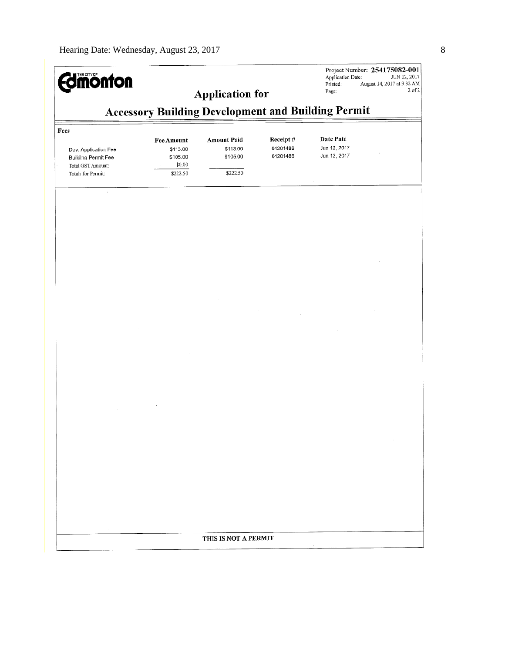| <b>Edmonton</b>                                                                                       |                                                                 | <b>Application for</b>                                 |                                  | Application Date:<br>Printed:<br>Page:    | Project Number: 254175082-001<br>JUN 12, 2017<br>August 14, 2017 at 9:32 AM<br>2 of 2 |
|-------------------------------------------------------------------------------------------------------|-----------------------------------------------------------------|--------------------------------------------------------|----------------------------------|-------------------------------------------|---------------------------------------------------------------------------------------|
|                                                                                                       | <b>Accessory Building Development and Building Permit</b>       |                                                        |                                  |                                           |                                                                                       |
| Fees<br>Dev. Application Fee<br><b>Building Permit Fee</b><br>Total GST Amount:<br>Totals for Permit: | <b>Fee Amount</b><br>\$113.00<br>\$105.00<br>\$0.00<br>\$222.50 | <b>Amount Paid</b><br>\$113.00<br>\$105.00<br>\$222.50 | Receipt#<br>04201486<br>04201486 | Date Paid<br>Jun 12, 2017<br>Jun 12, 2017 |                                                                                       |
| $\epsilon$                                                                                            |                                                                 |                                                        |                                  |                                           |                                                                                       |
|                                                                                                       |                                                                 |                                                        |                                  |                                           |                                                                                       |
|                                                                                                       |                                                                 |                                                        |                                  |                                           |                                                                                       |
|                                                                                                       |                                                                 |                                                        |                                  |                                           |                                                                                       |
|                                                                                                       |                                                                 |                                                        |                                  |                                           |                                                                                       |
|                                                                                                       |                                                                 |                                                        |                                  |                                           |                                                                                       |
|                                                                                                       |                                                                 |                                                        |                                  |                                           |                                                                                       |
|                                                                                                       |                                                                 |                                                        |                                  |                                           |                                                                                       |
|                                                                                                       |                                                                 |                                                        |                                  |                                           |                                                                                       |
|                                                                                                       |                                                                 |                                                        |                                  |                                           |                                                                                       |
|                                                                                                       |                                                                 |                                                        |                                  |                                           |                                                                                       |
|                                                                                                       |                                                                 |                                                        |                                  |                                           |                                                                                       |
|                                                                                                       |                                                                 |                                                        |                                  |                                           |                                                                                       |
|                                                                                                       |                                                                 |                                                        |                                  |                                           |                                                                                       |
|                                                                                                       |                                                                 |                                                        |                                  |                                           |                                                                                       |
|                                                                                                       |                                                                 |                                                        |                                  |                                           |                                                                                       |
|                                                                                                       |                                                                 |                                                        |                                  |                                           |                                                                                       |
|                                                                                                       |                                                                 |                                                        |                                  |                                           |                                                                                       |
|                                                                                                       |                                                                 |                                                        |                                  |                                           |                                                                                       |
|                                                                                                       |                                                                 | THIS IS NOT A PERMIT                                   |                                  |                                           |                                                                                       |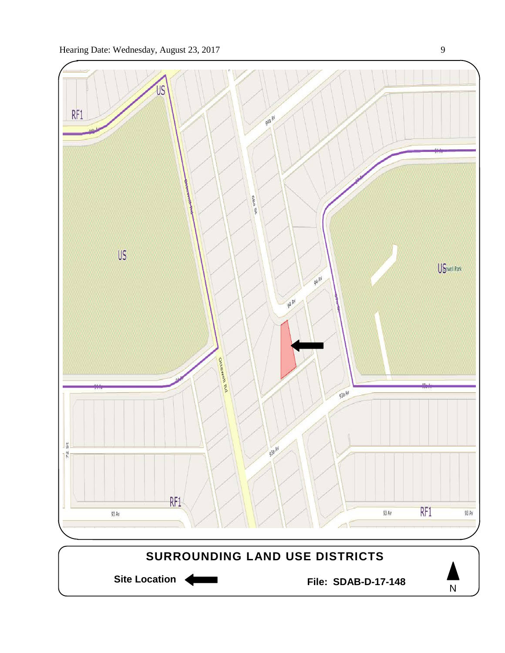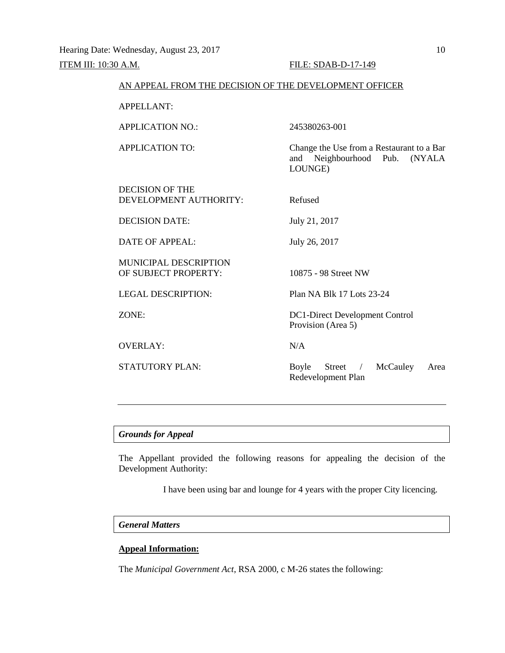### AN APPEAL FROM THE DECISION OF THE DEVELOPMENT OFFICER

APPELLANT:

APPLICATION NO.: 245380263-001

APPLICATION TO: Change the Use from a Restaurant to a Bar and Neighbourhood Pub. (NYALA LOUNGE)

DECISION OF THE DEVELOPMENT AUTHORITY: Refused DECISION DATE: July 21, 2017 DATE OF APPEAL: July 26, 2017 MUNICIPAL DESCRIPTION OF SUBJECT PROPERTY: 10875 - 98 Street NW

OVERLAY: N/A

LEGAL DESCRIPTION: Plan NA Blk 17 Lots 23-24

ZONE: DC1-Direct Development Control Provision (Area 5)

STATUTORY PLAN: Boyle Street / McCauley Area Redevelopment Plan

### *Grounds for Appeal*

The Appellant provided the following reasons for appealing the decision of the Development Authority:

I have been using bar and lounge for 4 years with the proper City licencing.

#### *General Matters*

# **Appeal Information:**

The *Municipal Government Act*, RSA 2000, c M-26 states the following: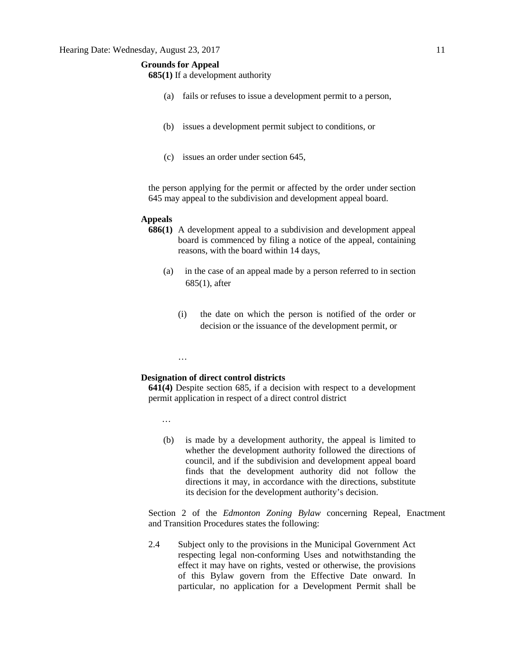# **Grounds for Appeal**

**685(1)** If a development authority

- (a) fails or refuses to issue a development permit to a person,
- (b) issues a development permit subject to conditions, or
- (c) issues an order under section 645,

the person applying for the permit or affected by the order under section 645 may appeal to the subdivision and development appeal board.

#### **Appeals**

- **686(1)** A development appeal to a subdivision and development appeal board is commenced by filing a notice of the appeal, containing reasons, with the board within 14 days,
	- (a) in the case of an appeal made by a person referred to in section 685(1), after
		- (i) the date on which the person is notified of the order or decision or the issuance of the development permit, or

#### **Designation of direct control districts**

**641(4)** Despite section 685, if a decision with respect to a development permit application in respect of a direct control district

…

…

(b) is made by a development authority, the appeal is limited to whether the development authority followed the directions of council, and if the subdivision and development appeal board finds that the development authority did not follow the directions it may, in accordance with the directions, substitute its decision for the development authority's decision.

Section 2 of the *Edmonton Zoning Bylaw* concerning Repeal, Enactment and Transition Procedures states the following:

2.4 Subject only to the provisions in the Municipal Government Act respecting legal non-conforming Uses and notwithstanding the effect it may have on rights, vested or otherwise, the provisions of this Bylaw govern from the Effective Date onward. In particular, no application for a Development Permit shall be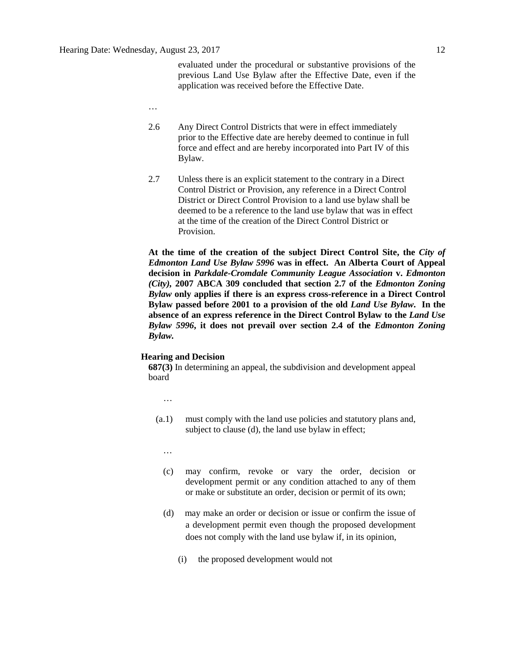evaluated under the procedural or substantive provisions of the previous Land Use Bylaw after the Effective Date, even if the application was received before the Effective Date.

- …
- 2.6 Any Direct Control Districts that were in effect immediately prior to the Effective date are hereby deemed to continue in full force and effect and are hereby incorporated into Part IV of this Bylaw.
- 2.7 Unless there is an explicit statement to the contrary in a Direct Control District or Provision, any reference in a Direct Control District or Direct Control Provision to a land use bylaw shall be deemed to be a reference to the land use bylaw that was in effect at the time of the creation of the Direct Control District or Provision.

**At the time of the creation of the subject Direct Control Site, the** *City of Edmonton Land Use Bylaw 5996* **was in effect. An Alberta Court of Appeal decision in** *Parkdale-Cromdale Community League Association* **v.** *Edmonton (City),* **2007 ABCA 309 concluded that section 2.7 of the** *Edmonton Zoning Bylaw* **only applies if there is an express cross-reference in a Direct Control Bylaw passed before 2001 to a provision of the old** *Land Use Bylaw***. In the absence of an express reference in the Direct Control Bylaw to the** *Land Use Bylaw 5996***, it does not prevail over section 2.4 of the** *Edmonton Zoning Bylaw.*

#### **Hearing and Decision**

**687(3)** In determining an appeal, the subdivision and development appeal board

- …
- (a.1) must comply with the land use policies and statutory plans and, subject to clause (d), the land use bylaw in effect;
	- …
	- (c) may confirm, revoke or vary the order, decision or development permit or any condition attached to any of them or make or substitute an order, decision or permit of its own;
	- (d) may make an order or decision or issue or confirm the issue of a development permit even though the proposed development does not comply with the land use bylaw if, in its opinion,
		- (i) the proposed development would not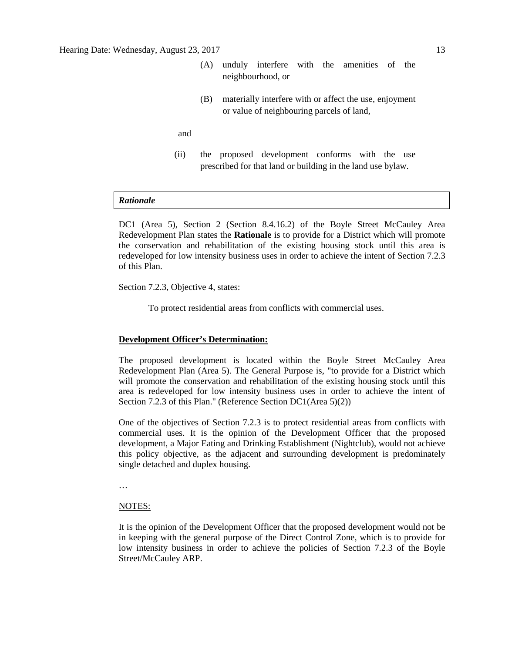- (A) unduly interfere with the amenities of the neighbourhood, or
- (B) materially interfere with or affect the use, enjoyment or value of neighbouring parcels of land,

and

(ii) the proposed development conforms with the use prescribed for that land or building in the land use bylaw.

#### *Rationale*

DC1 (Area 5), Section 2 (Section 8.4.16.2) of the Boyle Street McCauley Area Redevelopment Plan states the **Rationale** is to provide for a District which will promote the conservation and rehabilitation of the existing housing stock until this area is redeveloped for low intensity business uses in order to achieve the intent of Section 7.2.3 of this Plan.

Section 7.2.3, Objective 4, states:

To protect residential areas from conflicts with commercial uses.

#### **Development Officer's Determination:**

The proposed development is located within the Boyle Street McCauley Area Redevelopment Plan (Area 5). The General Purpose is, "to provide for a District which will promote the conservation and rehabilitation of the existing housing stock until this area is redeveloped for low intensity business uses in order to achieve the intent of Section 7.2.3 of this Plan." (Reference Section DC1(Area 5)(2))

One of the objectives of Section 7.2.3 is to protect residential areas from conflicts with commercial uses. It is the opinion of the Development Officer that the proposed development, a Major Eating and Drinking Establishment (Nightclub), would not achieve this policy objective, as the adjacent and surrounding development is predominately single detached and duplex housing.

…

#### NOTES:

It is the opinion of the Development Officer that the proposed development would not be in keeping with the general purpose of the Direct Control Zone, which is to provide for low intensity business in order to achieve the policies of Section 7.2.3 of the Boyle Street/McCauley ARP.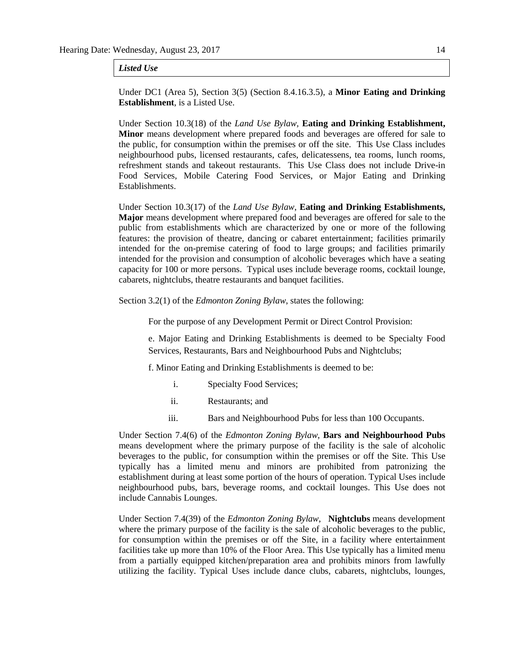#### *Listed Use*

Under DC1 (Area 5), Section 3(5) (Section 8.4.16.3.5), a **Minor Eating and Drinking Establishment**, is a Listed Use.

Under Section 10.3(18) of the *Land Use Bylaw,* **Eating and Drinking Establishment, Minor** means development where prepared foods and beverages are offered for sale to the public, for consumption within the premises or off the site. This Use Class includes neighbourhood pubs, licensed restaurants, cafes, delicatessens, tea rooms, lunch rooms, refreshment stands and takeout restaurants. This Use Class does not include Drive-in Food Services, Mobile Catering Food Services, or Major Eating and Drinking Establishments.

Under Section 10.3(17) of the *Land Use Bylaw*, **Eating and Drinking Establishments, Major** means development where prepared food and beverages are offered for sale to the public from establishments which are characterized by one or more of the following features: the provision of theatre, dancing or cabaret entertainment; facilities primarily intended for the on-premise catering of food to large groups; and facilities primarily intended for the provision and consumption of alcoholic beverages which have a seating capacity for 100 or more persons. Typical uses include beverage rooms, cocktail lounge, cabarets, nightclubs, theatre restaurants and banquet facilities.

Section 3.2(1) of the *Edmonton Zoning Bylaw*, states the following:

For the purpose of any Development Permit or Direct Control Provision:

e. Major Eating and Drinking Establishments is deemed to be Specialty Food Services, Restaurants, Bars and Neighbourhood Pubs and Nightclubs;

f. Minor Eating and Drinking Establishments is deemed to be:

- i. Specialty Food Services;
- ii. Restaurants; and
- iii. Bars and Neighbourhood Pubs for less than 100 Occupants.

Under Section 7.4(6) of the *Edmonton Zoning Bylaw*, **Bars and Neighbourhood Pubs** means development where the primary purpose of the facility is the sale of alcoholic beverages to the public, for consumption within the premises or off the Site. This Use typically has a limited menu and minors are prohibited from patronizing the establishment during at least some portion of the hours of operation. Typical Uses include neighbourhood pubs, bars, beverage rooms, and cocktail lounges. This Use does not include Cannabis Lounges.

Under Section 7.4(39) of the *Edmonton Zoning Bylaw*, **Nightclubs** means development where the primary purpose of the facility is the sale of alcoholic beverages to the public, for consumption within the premises or off the Site, in a facility where entertainment facilities take up more than 10% of the Floor Area. This Use typically has a limited menu from a partially equipped kitchen/preparation area and prohibits minors from lawfully utilizing the facility. Typical Uses include dance clubs, cabarets, nightclubs, lounges,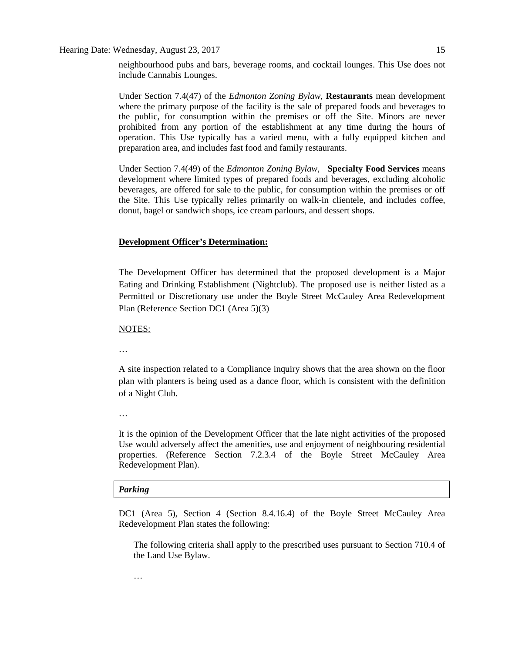Hearing Date: Wednesday, August 23, 2017 15

neighbourhood pubs and bars, beverage rooms, and cocktail lounges. This Use does not include Cannabis Lounges.

Under Section 7.4(47) of the *Edmonton Zoning Bylaw*, **Restaurants** mean development where the primary purpose of the facility is the sale of prepared foods and beverages to the public, for consumption within the premises or off the Site. Minors are never prohibited from any portion of the establishment at any time during the hours of operation. This Use typically has a varied menu, with a fully equipped kitchen and preparation area, and includes fast food and family restaurants.

Under Section 7.4(49) of the *Edmonton Zoning Bylaw*, **Specialty Food Services** means development where limited types of prepared foods and beverages, excluding alcoholic beverages, are offered for sale to the public, for consumption within the premises or off the Site. This Use typically relies primarily on walk-in clientele, and includes coffee, donut, bagel or sandwich shops, ice cream parlours, and dessert shops.

# **Development Officer's Determination:**

The Development Officer has determined that the proposed development is a Major Eating and Drinking Establishment (Nightclub). The proposed use is neither listed as a Permitted or Discretionary use under the Boyle Street McCauley Area Redevelopment Plan (Reference Section DC1 (Area 5)(3)

NOTES:

…

A site inspection related to a Compliance inquiry shows that the area shown on the floor plan with planters is being used as a dance floor, which is consistent with the definition of a Night Club.

…

It is the opinion of the Development Officer that the late night activities of the proposed Use would adversely affect the amenities, use and enjoyment of neighbouring residential properties. (Reference Section 7.2.3.4 of the Boyle Street McCauley Area Redevelopment Plan).

# *Parking*

DC1 (Area 5), Section 4 (Section 8.4.16.4) of the Boyle Street McCauley Area Redevelopment Plan states the following:

The following criteria shall apply to the prescribed uses pursuant to Section 710.4 of the Land Use Bylaw.

…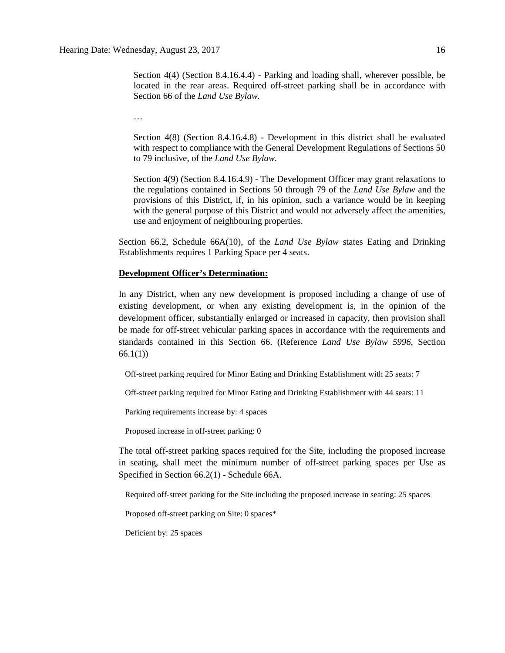Section 4(4) (Section 8.4.16.4.4) - Parking and loading shall, wherever possible, be located in the rear areas. Required off-street parking shall be in accordance with Section 66 of the *Land Use Bylaw.*

…

Section 4(8) (Section 8.4.16.4.8) - Development in this district shall be evaluated with respect to compliance with the General Development Regulations of Sections 50 to 79 inclusive, of the *Land Use Bylaw*.

Section 4(9) (Section 8.4.16.4.9) - The Development Officer may grant relaxations to the regulations contained in Sections 50 through 79 of the *Land Use Bylaw* and the provisions of this District, if, in his opinion, such a variance would be in keeping with the general purpose of this District and would not adversely affect the amenities, use and enjoyment of neighbouring properties.

Section 66.2, Schedule 66A(10), of the *Land Use Bylaw* states Eating and Drinking Establishments requires 1 Parking Space per 4 seats.

#### **Development Officer's Determination:**

In any District, when any new development is proposed including a change of use of existing development, or when any existing development is, in the opinion of the development officer, substantially enlarged or increased in capacity, then provision shall be made for off-street vehicular parking spaces in accordance with the requirements and standards contained in this Section 66. (Reference *Land Use Bylaw 5996*, Section 66.1(1))

Off-street parking required for Minor Eating and Drinking Establishment with 25 seats: 7

Off-street parking required for Minor Eating and Drinking Establishment with 44 seats: 11

Parking requirements increase by: 4 spaces

Proposed increase in off-street parking: 0

The total off-street parking spaces required for the Site, including the proposed increase in seating, shall meet the minimum number of off-street parking spaces per Use as Specified in Section 66.2(1) - Schedule 66A.

Required off-street parking for the Site including the proposed increase in seating: 25 spaces

Proposed off-street parking on Site: 0 spaces\*

Deficient by: 25 spaces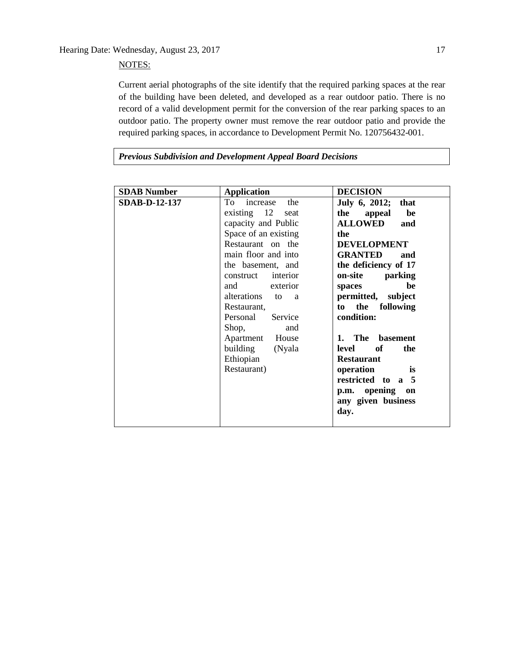# NOTES:

Current aerial photographs of the site identify that the required parking spaces at the rear of the building have been deleted, and developed as a rear outdoor patio. There is no record of a valid development permit for the conversion of the rear parking spaces to an outdoor patio. The property owner must remove the rear outdoor patio and provide the required parking spaces, in accordance to Development Permit No. 120756432-001.

*Previous Subdivision and Development Appeal Board Decisions*

| <b>SDAB Number</b>   | <b>Application</b>                                                                                                                                                                                                                                                                                                                                        | <b>DECISION</b>                                                                                                                                                                                                                                                                                                                                                                                                      |
|----------------------|-----------------------------------------------------------------------------------------------------------------------------------------------------------------------------------------------------------------------------------------------------------------------------------------------------------------------------------------------------------|----------------------------------------------------------------------------------------------------------------------------------------------------------------------------------------------------------------------------------------------------------------------------------------------------------------------------------------------------------------------------------------------------------------------|
| <b>SDAB-D-12-137</b> | To increase<br>the<br>existing $12$<br>seat<br>capacity and Public<br>Space of an existing<br>Restaurant on the<br>main floor and into<br>the basement, and<br>construct interior<br>and exterior<br>alterations<br>to<br>a<br>Restaurant,<br>Service<br>Personal<br>Shop,<br>and<br>Apartment<br>House<br>building<br>(Nyala<br>Ethiopian<br>Restaurant) | July 6, 2012; that<br>the<br>be<br>appeal<br><b>ALLOWED</b><br>and<br>the<br><b>DEVELOPMENT</b><br><b>GRANTED</b><br>and<br>the deficiency of 17<br>on-site<br>parking<br>be<br>spaces<br>permitted, subject<br>the following<br>to<br>condition:<br>The basement<br>$\mathbf{1}$ .<br>level of<br>the<br><b>Restaurant</b><br>operation<br>is<br>restricted to a 5<br>p.m. opening on<br>any given business<br>day. |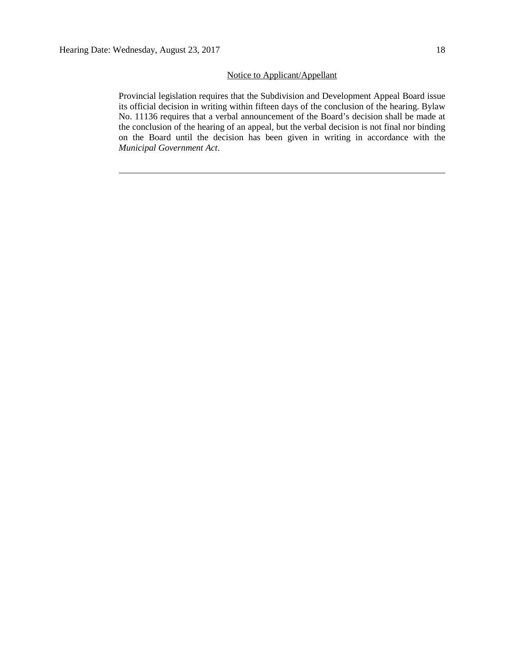# Notice to Applicant/Appellant

Provincial legislation requires that the Subdivision and Development Appeal Board issue its official decision in writing within fifteen days of the conclusion of the hearing. Bylaw No. 11136 requires that a verbal announcement of the Board's decision shall be made at the conclusion of the hearing of an appeal, but the verbal decision is not final nor binding on the Board until the decision has been given in writing in accordance with the *Municipal Government Act*.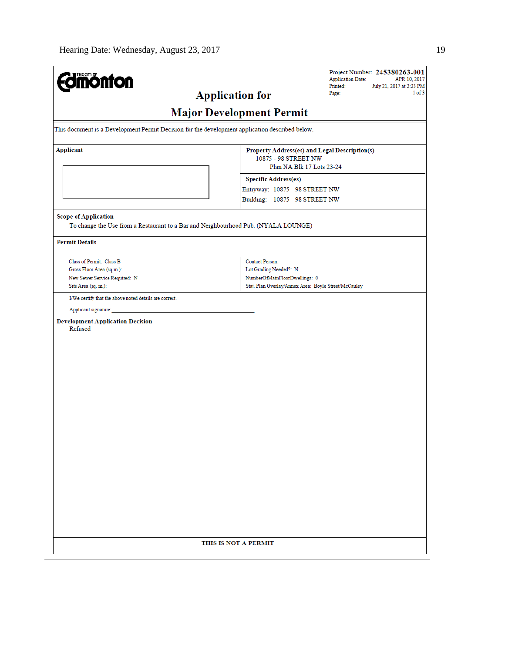| <b>Major Development Permit</b><br>This document is a Development Permit Decision for the development application described below.<br><b>Applicant</b><br>Property Address(es) and Legal Description(s)<br>10875 - 98 STREET NW<br>Plan NA Blk 17 Lots 23-24<br><b>Specific Address(es)</b><br>Entryway: 10875 - 98 STREET NW<br>Building: 10875 - 98 STREET NW<br><b>Scope of Application</b><br>To change the Use from a Restaurant to a Bar and Neighbourhood Pub. (NYALA LOUNGE)<br><b>Permit Details</b><br>Class of Permit: Class B<br><b>Contact Person:</b><br>Gross Floor Area (sq.m.):<br>Lot Grading Needed?: N<br>New Sewer Service Required: N<br>NumberOfMainFloorDwellings: 0<br>Stat. Plan Overlay/Annex Area: Boyle Street/McCauley<br>Site Area (sq. m.):<br>I/We certify that the above noted details are correct.<br>Applicant signature:<br><b>Development Application Decision</b><br>Refused<br>THIS IS NOT A PERMIT | <b>mönton</b> | Project Number: 245380263-001<br><b>Application Date:</b><br>APR 10, 2017<br>Printed:<br>July 21, 2017 at 2:23 PM<br>1 of 3<br><b>Application for</b><br>Page: |
|---------------------------------------------------------------------------------------------------------------------------------------------------------------------------------------------------------------------------------------------------------------------------------------------------------------------------------------------------------------------------------------------------------------------------------------------------------------------------------------------------------------------------------------------------------------------------------------------------------------------------------------------------------------------------------------------------------------------------------------------------------------------------------------------------------------------------------------------------------------------------------------------------------------------------------------------|---------------|----------------------------------------------------------------------------------------------------------------------------------------------------------------|
|                                                                                                                                                                                                                                                                                                                                                                                                                                                                                                                                                                                                                                                                                                                                                                                                                                                                                                                                             |               |                                                                                                                                                                |
|                                                                                                                                                                                                                                                                                                                                                                                                                                                                                                                                                                                                                                                                                                                                                                                                                                                                                                                                             |               |                                                                                                                                                                |
|                                                                                                                                                                                                                                                                                                                                                                                                                                                                                                                                                                                                                                                                                                                                                                                                                                                                                                                                             |               |                                                                                                                                                                |
|                                                                                                                                                                                                                                                                                                                                                                                                                                                                                                                                                                                                                                                                                                                                                                                                                                                                                                                                             |               |                                                                                                                                                                |
|                                                                                                                                                                                                                                                                                                                                                                                                                                                                                                                                                                                                                                                                                                                                                                                                                                                                                                                                             |               |                                                                                                                                                                |
|                                                                                                                                                                                                                                                                                                                                                                                                                                                                                                                                                                                                                                                                                                                                                                                                                                                                                                                                             |               |                                                                                                                                                                |
|                                                                                                                                                                                                                                                                                                                                                                                                                                                                                                                                                                                                                                                                                                                                                                                                                                                                                                                                             |               |                                                                                                                                                                |
|                                                                                                                                                                                                                                                                                                                                                                                                                                                                                                                                                                                                                                                                                                                                                                                                                                                                                                                                             |               |                                                                                                                                                                |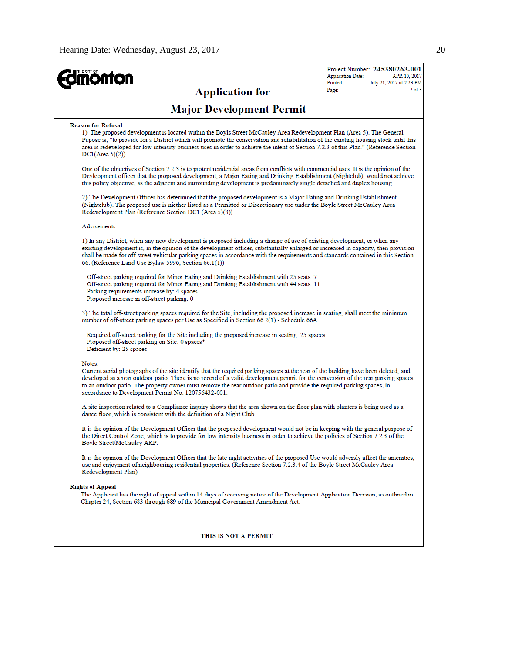| <b>Imónfon</b>                                                                                                                                                                                                                                                                                                                                                                                                                                              | Project Number: 245380263-001<br><b>Application Date:</b><br>APR 10, 2017 |
|-------------------------------------------------------------------------------------------------------------------------------------------------------------------------------------------------------------------------------------------------------------------------------------------------------------------------------------------------------------------------------------------------------------------------------------------------------------|---------------------------------------------------------------------------|
| <b>Application for</b>                                                                                                                                                                                                                                                                                                                                                                                                                                      | Printed:<br>July 21, 2017 at 2:23 PM<br>$2$ of $3$<br>Page:               |
| <b>Major Development Permit</b>                                                                                                                                                                                                                                                                                                                                                                                                                             |                                                                           |
| <b>Reason for Refusal</b><br>1) The proposed development is located within the Boyls Street McCauley Area Redevelopment Plan (Area 5). The General<br>Pupose is, "to provide for a District which will promote the conservation and rehabilitation of the existing housing stock until this<br>area is redeveloped for low intensity business uses in order to achieve the intent of Section 7.2.3 of this Plan." (Reference Section<br>DC1(Area 5)(2))     |                                                                           |
| One of the objectives of Section 7.2.3 is to protect residential areas from conflicts with commercial uses. It is the opinion of the<br>Devleopment officer that the proposed development, a Major Eating and Drinking Establishment (Nightclub), would not achieve<br>this policy objective, as the adjacent and surrounding development is predominately single detached and duplex housing.                                                              |                                                                           |
| 2) The Development Officer has determined that the proposed development is a Major Eating and Drinking Establishment<br>(Nightclub). The proposed use is niether listed as a Permitted or Discretionary use under the Boyle Street McCauley Area<br>Redevelopment Plan (Reference Section DC1 (Area 5)(3)).                                                                                                                                                 |                                                                           |
| Advisements                                                                                                                                                                                                                                                                                                                                                                                                                                                 |                                                                           |
| 1) In any District, when any new development is proposed including a change of use of existing development, or when any<br>existing development is, in the opinion of the development officer, substantially enlarged or increased in capacity, then provision<br>shall be made for off-street vehicular parking spaces in accordance with the requirements and standards contained in this Section<br>66. (Reference Land Use Bylaw 5996, Section 66.1(1)) |                                                                           |
| Off-street parking required for Minor Eating and Drinking Establishment with 25 seats: 7<br>Off-street parking required for Minor Eating and Drinking Establishment with 44 seats: 11<br>Parking requirements increase by: 4 spaces<br>Proposed increase in off-street parking: 0                                                                                                                                                                           |                                                                           |
| 3) The total off-street parking spaces required for the Site, including the proposed increase in seating, shall meet the minimum<br>number of off-street parking spaces per Use as Specified in Section 66.2(1) - Schedule 66A.                                                                                                                                                                                                                             |                                                                           |
| Required off-street parking for the Site including the proposed increase in seating: 25 spaces<br>Proposed off-street parking on Site: 0 spaces*<br>Deficient by: 25 spaces                                                                                                                                                                                                                                                                                 |                                                                           |
| Notes:                                                                                                                                                                                                                                                                                                                                                                                                                                                      |                                                                           |
| Current aerial photographs of the site identify that the required parking spaces at the rear of the building have been deleted, and<br>developed as a rear outdoor patio. There is no record of a valid development permit for the conversion of the rear parking spaces<br>to an outdoor patio. The property owner must remove the rear outdoor patio and provide the required parking spaces, in<br>accordance to Development Permit No. 120756432-001.   |                                                                           |
| A site inspection related to a Compliance inquiry shows that the area shown on the floor plan with planters is being used as a<br>dance floor, which is consistent with the definition of a Night Club.                                                                                                                                                                                                                                                     |                                                                           |
| It is the opinion of the Development Officer that the proposed development would not be in keeping with the general purpose of<br>the Direct Control Zone, which is to provide for low intensity business in order to achieve the policies of Section 7.2.3 of the<br>Boyle Street/McCauley ARP.                                                                                                                                                            |                                                                           |
| It is the opinion of the Development Officer that the late night activities of the proposed Use would adversly affect the amenities,<br>use and enjoyment of neighbouring residential properties. (Reference Section 7.2.3.4 of the Boyle Street McCauley Area<br>Redevelopment Plan).                                                                                                                                                                      |                                                                           |
| <b>Rights of Appeal</b><br>The Applicant has the right of appeal within 14 days of receiving notice of the Development Application Decision, as outlined in<br>Chapter 24, Section 683 through 689 of the Municipal Government Amendment Act.                                                                                                                                                                                                               |                                                                           |
|                                                                                                                                                                                                                                                                                                                                                                                                                                                             |                                                                           |
| THIS IS NOT A PERMIT                                                                                                                                                                                                                                                                                                                                                                                                                                        |                                                                           |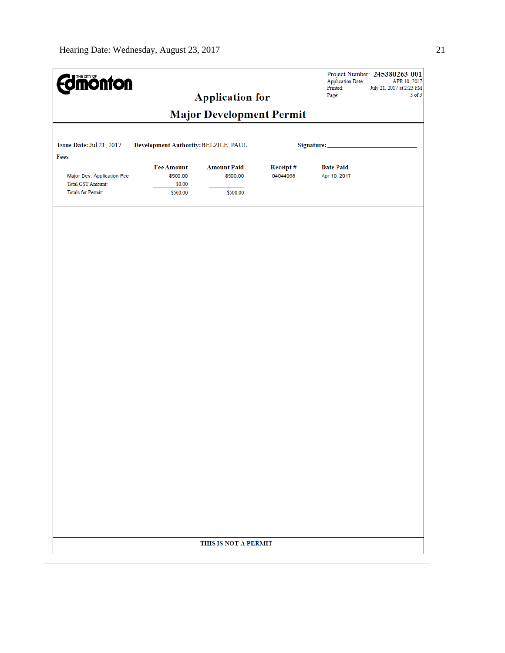| <b>Edmonton</b>                                                                     |                                                     | <b>Application for</b>                     |                      | <b>Application Date:</b><br>Printed:<br>Page: | Project Number: 245380263-001<br>APR 10, 2017<br>July 21, 2017 at 2:23 PM<br>$3$ of $3$ |
|-------------------------------------------------------------------------------------|-----------------------------------------------------|--------------------------------------------|----------------------|-----------------------------------------------|-----------------------------------------------------------------------------------------|
|                                                                                     |                                                     | <b>Major Development Permit</b>            |                      |                                               |                                                                                         |
| Issue Date: Jul 21, 2017                                                            | Development Authority: BELZILE, PAUL                |                                            |                      | Signature:                                    |                                                                                         |
| Fees                                                                                |                                                     |                                            |                      |                                               |                                                                                         |
| Major Dev. Application Fee<br><b>Total GST Amount:</b><br><b>Totals for Permit:</b> | <b>Fee Amount</b><br>\$500.00<br>\$0.00<br>\$500.00 | <b>Amount Paid</b><br>\$500.00<br>\$500.00 | Receipt#<br>04044068 | <b>Date Paid</b><br>Apr 10, 2017              |                                                                                         |
|                                                                                     |                                                     |                                            |                      |                                               |                                                                                         |
|                                                                                     |                                                     |                                            |                      |                                               |                                                                                         |
|                                                                                     |                                                     |                                            |                      |                                               |                                                                                         |
|                                                                                     |                                                     |                                            |                      |                                               |                                                                                         |
|                                                                                     |                                                     |                                            |                      |                                               |                                                                                         |
|                                                                                     |                                                     |                                            |                      |                                               |                                                                                         |
|                                                                                     |                                                     |                                            |                      |                                               |                                                                                         |
|                                                                                     |                                                     |                                            |                      |                                               |                                                                                         |
|                                                                                     |                                                     |                                            |                      |                                               |                                                                                         |
|                                                                                     |                                                     |                                            |                      |                                               |                                                                                         |
|                                                                                     |                                                     | THIS IS NOT A PERMIT                       |                      |                                               |                                                                                         |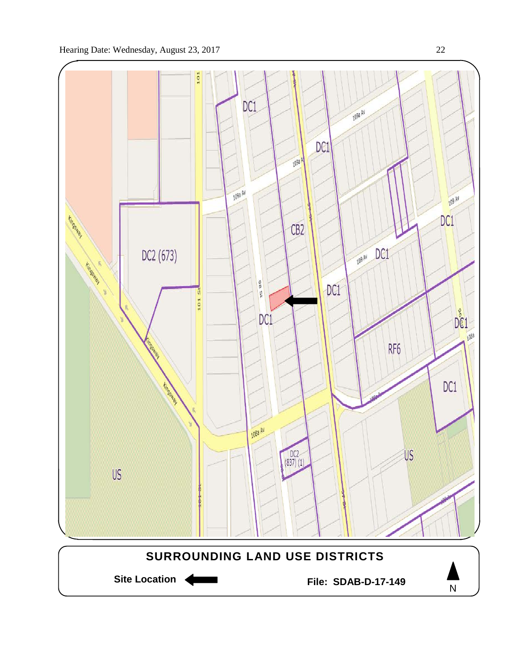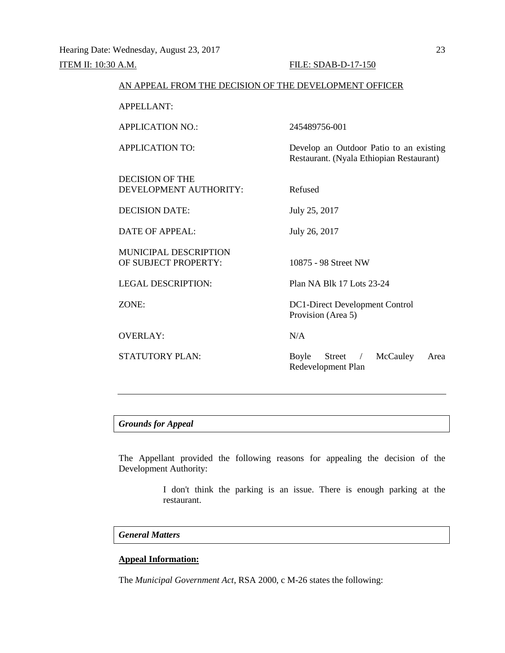# **ITEM II:** 10:30 A.M. **FILE:** SDAB-D-17-150

| AN APPEAL FROM THE DECISION OF THE DEVELOPMENT OFFICER |                                                                                     |
|--------------------------------------------------------|-------------------------------------------------------------------------------------|
| APPELLANT:                                             |                                                                                     |
| <b>APPLICATION NO.:</b>                                | 245489756-001                                                                       |
| <b>APPLICATION TO:</b>                                 | Develop an Outdoor Patio to an existing<br>Restaurant. (Nyala Ethiopian Restaurant) |
| <b>DECISION OF THE</b><br>DEVELOPMENT AUTHORITY:       | Refused                                                                             |
| <b>DECISION DATE:</b>                                  | July 25, 2017                                                                       |
| <b>DATE OF APPEAL:</b>                                 | July 26, 2017                                                                       |
| MUNICIPAL DESCRIPTION<br>OF SUBJECT PROPERTY:          | 10875 - 98 Street NW                                                                |
| <b>LEGAL DESCRIPTION:</b>                              | Plan NA Blk 17 Lots 23-24                                                           |
| ZONE:                                                  | DC1-Direct Development Control<br>Provision (Area 5)                                |
| <b>OVERLAY:</b>                                        | N/A                                                                                 |
| <b>STATUTORY PLAN:</b>                                 | McCauley<br>Boyle<br>Street<br>Area<br>Redevelopment Plan                           |
|                                                        |                                                                                     |

# *Grounds for Appeal*

The Appellant provided the following reasons for appealing the decision of the Development Authority:

> I don't think the parking is an issue. There is enough parking at the restaurant.

# *General Matters*

# **Appeal Information:**

The *Municipal Government Act*, RSA 2000, c M-26 states the following: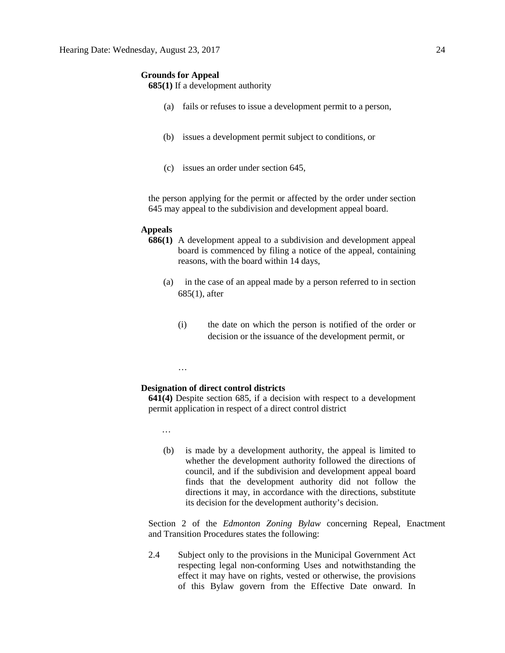#### **Grounds for Appeal**

**685(1)** If a development authority

- (a) fails or refuses to issue a development permit to a person,
- (b) issues a development permit subject to conditions, or
- (c) issues an order under section 645,

the person applying for the permit or affected by the order under section 645 may appeal to the subdivision and development appeal board.

#### **Appeals**

- **686(1)** A development appeal to a subdivision and development appeal board is commenced by filing a notice of the appeal, containing reasons, with the board within 14 days,
	- (a) in the case of an appeal made by a person referred to in section 685(1), after
		- (i) the date on which the person is notified of the order or decision or the issuance of the development permit, or

#### …

#### **Designation of direct control districts**

**641(4)** Despite section 685, if a decision with respect to a development permit application in respect of a direct control district

…

(b) is made by a development authority, the appeal is limited to whether the development authority followed the directions of council, and if the subdivision and development appeal board finds that the development authority did not follow the directions it may, in accordance with the directions, substitute its decision for the development authority's decision.

Section 2 of the *Edmonton Zoning Bylaw* concerning Repeal, Enactment and Transition Procedures states the following:

2.4 Subject only to the provisions in the Municipal Government Act respecting legal non-conforming Uses and notwithstanding the effect it may have on rights, vested or otherwise, the provisions of this Bylaw govern from the Effective Date onward. In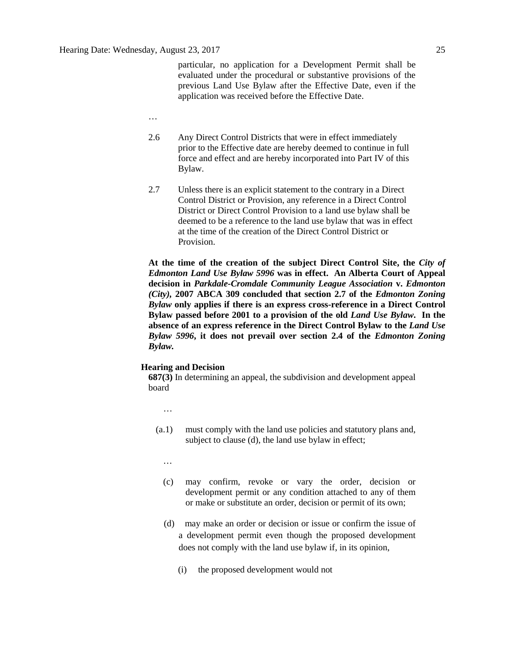particular, no application for a Development Permit shall be evaluated under the procedural or substantive provisions of the previous Land Use Bylaw after the Effective Date, even if the application was received before the Effective Date.

- …
- 2.6 Any Direct Control Districts that were in effect immediately prior to the Effective date are hereby deemed to continue in full force and effect and are hereby incorporated into Part IV of this Bylaw.
- 2.7 Unless there is an explicit statement to the contrary in a Direct Control District or Provision, any reference in a Direct Control District or Direct Control Provision to a land use bylaw shall be deemed to be a reference to the land use bylaw that was in effect at the time of the creation of the Direct Control District or Provision.

**At the time of the creation of the subject Direct Control Site, the** *City of Edmonton Land Use Bylaw 5996* **was in effect. An Alberta Court of Appeal decision in** *Parkdale-Cromdale Community League Association* **v.** *Edmonton (City),* **2007 ABCA 309 concluded that section 2.7 of the** *Edmonton Zoning Bylaw* **only applies if there is an express cross-reference in a Direct Control Bylaw passed before 2001 to a provision of the old** *Land Use Bylaw***. In the absence of an express reference in the Direct Control Bylaw to the** *Land Use Bylaw 5996***, it does not prevail over section 2.4 of the** *Edmonton Zoning Bylaw.*

#### **Hearing and Decision**

**687(3)** In determining an appeal, the subdivision and development appeal board

- …
- (a.1) must comply with the land use policies and statutory plans and, subject to clause (d), the land use bylaw in effect;
	- …
	- (c) may confirm, revoke or vary the order, decision or development permit or any condition attached to any of them or make or substitute an order, decision or permit of its own;
	- (d) may make an order or decision or issue or confirm the issue of a development permit even though the proposed development does not comply with the land use bylaw if, in its opinion,
		- (i) the proposed development would not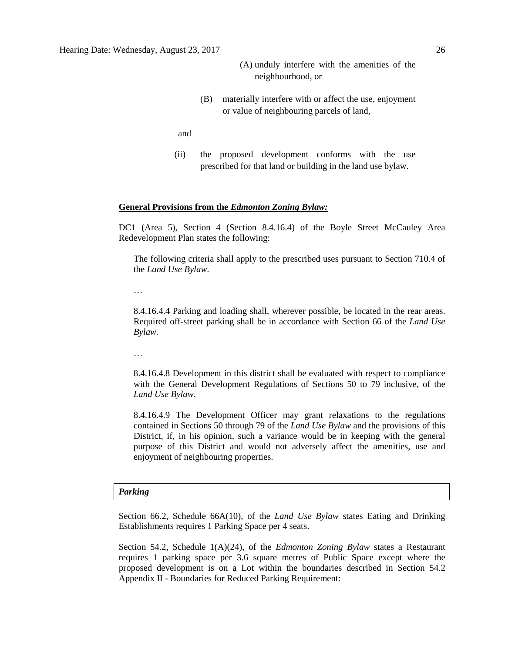- (A) unduly interfere with the amenities of the neighbourhood, or
- (B) materially interfere with or affect the use, enjoyment or value of neighbouring parcels of land,

and

(ii) the proposed development conforms with the use prescribed for that land or building in the land use bylaw.

#### **General Provisions from the** *Edmonton Zoning Bylaw:*

DC1 (Area 5), Section 4 (Section 8.4.16.4) of the Boyle Street McCauley Area Redevelopment Plan states the following:

The following criteria shall apply to the prescribed uses pursuant to Section 710.4 of the *Land Use Bylaw*.

…

8.4.16.4.4 Parking and loading shall, wherever possible, be located in the rear areas. Required off-street parking shall be in accordance with Section 66 of the *Land Use Bylaw.*

…

8.4.16.4.8 Development in this district shall be evaluated with respect to compliance with the General Development Regulations of Sections 50 to 79 inclusive, of the *Land Use Bylaw*.

8.4.16.4.9 The Development Officer may grant relaxations to the regulations contained in Sections 50 through 79 of the *Land Use Bylaw* and the provisions of this District, if, in his opinion, such a variance would be in keeping with the general purpose of this District and would not adversely affect the amenities, use and enjoyment of neighbouring properties.

#### *Parking*

Section 66.2, Schedule 66A(10), of the *Land Use Bylaw* states Eating and Drinking Establishments requires 1 Parking Space per 4 seats.

Section 54.2, Schedule 1(A)(24), of the *Edmonton Zoning Bylaw* states a Restaurant requires 1 parking space per 3.6 square metres of Public Space except where the proposed development is on a Lot within the boundaries described in Section 54.2 Appendix II - Boundaries for Reduced Parking Requirement: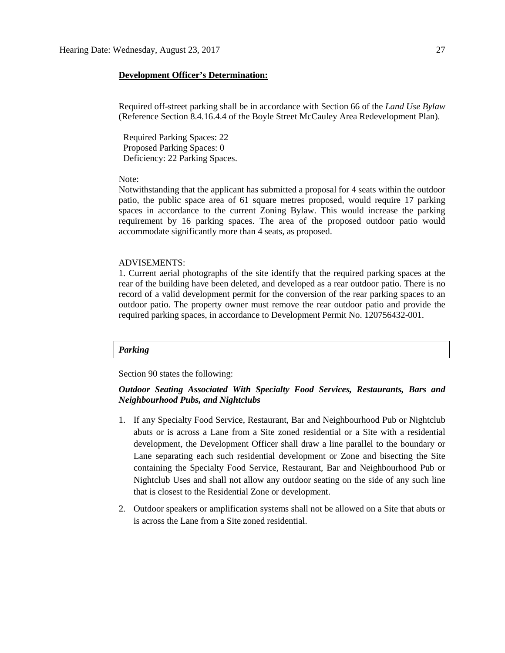#### **Development Officer's Determination:**

Required off-street parking shall be in accordance with Section 66 of the *Land Use Bylaw* (Reference Section 8.4.16.4.4 of the Boyle Street McCauley Area Redevelopment Plan).

 Required Parking Spaces: 22 Proposed Parking Spaces: 0 Deficiency: 22 Parking Spaces.

#### Note:

Notwithstanding that the applicant has submitted a proposal for 4 seats within the outdoor patio, the public space area of 61 square metres proposed, would require 17 parking spaces in accordance to the current Zoning Bylaw. This would increase the parking requirement by 16 parking spaces. The area of the proposed outdoor patio would accommodate significantly more than 4 seats, as proposed.

#### ADVISEMENTS:

1. Current aerial photographs of the site identify that the required parking spaces at the rear of the building have been deleted, and developed as a rear outdoor patio. There is no record of a valid development permit for the conversion of the rear parking spaces to an outdoor patio. The property owner must remove the rear outdoor patio and provide the required parking spaces, in accordance to Development Permit No. 120756432-001.

#### *Parking*

Section 90 states the following:

# *Outdoor Seating Associated With Specialty Food Services, Restaurants, Bars and Neighbourhood Pubs, and Nightclubs*

- 1. If any [Specialty Food Service, Restaurant, Bar and Neighbourhood Pub](javascript:void(0);) or [Nightclub](javascript:void(0);) abuts or is across a Lane from a Site zoned residential or a Site with a residential development, the Development Officer shall draw a line parallel to the boundary or Lane separating each such residential development or Zone and bisecting the Site containing the Specialty Food Service, Restaurant, Bar and Neighbourhood Pub or Nightclub Uses and shall not allow any outdoor seating on the side of any such line that is closest to the Residential Zone or development.
- 2. Outdoor speakers or amplification systems shall not be allowed on a Site that abuts or is across the Lane from a Site zoned residential.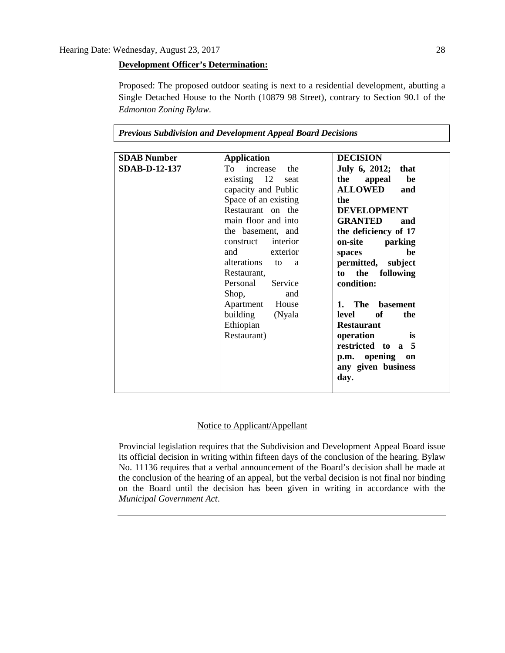## **Development Officer's Determination:**

Proposed: The proposed outdoor seating is next to a residential development, abutting a Single Detached House to the North (10879 98 Street), contrary to Section 90.1 of the *Edmonton Zoning Bylaw*.

| <b>SDAB</b> Number   | <b>Application</b>                                                                                                                                                                                                                                                                                                                               | <b>DECISION</b>                                                                                                                                                                                                                                                                                                                                                                                          |
|----------------------|--------------------------------------------------------------------------------------------------------------------------------------------------------------------------------------------------------------------------------------------------------------------------------------------------------------------------------------------------|----------------------------------------------------------------------------------------------------------------------------------------------------------------------------------------------------------------------------------------------------------------------------------------------------------------------------------------------------------------------------------------------------------|
| <b>SDAB-D-12-137</b> | To increase the<br>existing $12$<br>seat<br>capacity and Public<br>Space of an existing<br>Restaurant on the<br>main floor and into<br>the basement, and<br>construct interior<br>and exterior<br>alterations to<br>a<br>Restaurant,<br>Service<br>Personal<br>Shop,<br>and<br>Apartment House<br>(Nyala<br>building<br>Ethiopian<br>Restaurant) | July 6, 2012; that<br>the<br>appeal<br>be<br><b>ALLOWED</b><br>and<br>the<br><b>DEVELOPMENT</b><br><b>GRANTED</b><br>and<br>the deficiency of 17<br>parking<br>on-site<br>he<br>spaces<br>permitted, subject<br>the following<br>to<br>condition:<br>1. The basement<br>of<br>the<br>level<br><b>Restaurant</b><br>operation<br>is<br>restricted to a 5<br>p.m. opening on<br>any given business<br>day. |

*Previous Subdivision and Development Appeal Board Decisions*

# Notice to Applicant/Appellant

Provincial legislation requires that the Subdivision and Development Appeal Board issue its official decision in writing within fifteen days of the conclusion of the hearing. Bylaw No. 11136 requires that a verbal announcement of the Board's decision shall be made at the conclusion of the hearing of an appeal, but the verbal decision is not final nor binding on the Board until the decision has been given in writing in accordance with the *Municipal Government Act*.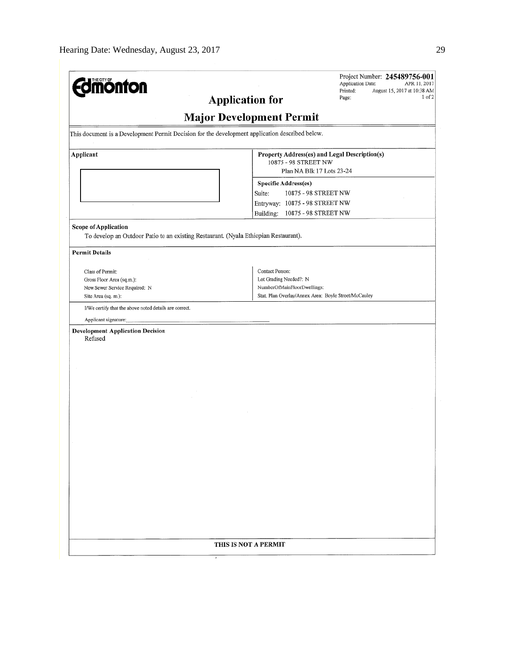| <b>monton</b>                                                                                                       | Project Number: 245489756-001<br>Application Date:<br>APR 11, 2017<br>Printed:<br>August 15, 2017 at 10:38 AM<br>1 <sub>0</sub> f <sub>2</sub><br><b>Application for</b><br>Page: |
|---------------------------------------------------------------------------------------------------------------------|-----------------------------------------------------------------------------------------------------------------------------------------------------------------------------------|
|                                                                                                                     |                                                                                                                                                                                   |
|                                                                                                                     | <b>Major Development Permit</b>                                                                                                                                                   |
| This document is a Development Permit Decision for the development application described below.                     |                                                                                                                                                                                   |
| Applicant                                                                                                           | Property Address(es) and Legal Description(s)<br>10875 - 98 STREET NW                                                                                                             |
|                                                                                                                     | Plan NA Blk 17 Lots 23-24                                                                                                                                                         |
|                                                                                                                     | <b>Specific Address(es)</b>                                                                                                                                                       |
|                                                                                                                     | 10875 - 98 STREET NW<br>Suite:                                                                                                                                                    |
|                                                                                                                     | Entryway: 10875 - 98 STREET NW                                                                                                                                                    |
|                                                                                                                     | Building:<br>10875 - 98 STREET NW                                                                                                                                                 |
| <b>Scope of Application</b><br>To develop an Outdoor Patio to an existing Restaurant. (Nyala Ethiopian Restaurant). |                                                                                                                                                                                   |
| <b>Permit Details</b>                                                                                               |                                                                                                                                                                                   |
|                                                                                                                     |                                                                                                                                                                                   |
| Class of Permit:<br>Gross Floor Area (sq.m.):                                                                       | Contact Person:<br>Lot Grading Needed?: N                                                                                                                                         |
| New Sewer Service Required: N                                                                                       | NumberOfMainFloorDwellings:                                                                                                                                                       |
| Site Area (sq. m.):                                                                                                 | Stat. Plan Overlay/Annex Area: Boyle Street/McCauley                                                                                                                              |
| I/We certify that the above noted details are correct.                                                              |                                                                                                                                                                                   |
|                                                                                                                     |                                                                                                                                                                                   |
| Applicant signature:                                                                                                |                                                                                                                                                                                   |
| <b>Development Application Decision</b><br>Refused                                                                  |                                                                                                                                                                                   |
|                                                                                                                     |                                                                                                                                                                                   |
|                                                                                                                     |                                                                                                                                                                                   |
|                                                                                                                     |                                                                                                                                                                                   |
|                                                                                                                     |                                                                                                                                                                                   |
|                                                                                                                     |                                                                                                                                                                                   |
|                                                                                                                     |                                                                                                                                                                                   |
|                                                                                                                     |                                                                                                                                                                                   |
|                                                                                                                     |                                                                                                                                                                                   |
|                                                                                                                     |                                                                                                                                                                                   |
|                                                                                                                     |                                                                                                                                                                                   |
|                                                                                                                     |                                                                                                                                                                                   |
|                                                                                                                     |                                                                                                                                                                                   |
|                                                                                                                     |                                                                                                                                                                                   |
|                                                                                                                     |                                                                                                                                                                                   |
|                                                                                                                     |                                                                                                                                                                                   |
|                                                                                                                     |                                                                                                                                                                                   |
|                                                                                                                     |                                                                                                                                                                                   |
|                                                                                                                     |                                                                                                                                                                                   |
|                                                                                                                     |                                                                                                                                                                                   |
|                                                                                                                     |                                                                                                                                                                                   |
|                                                                                                                     |                                                                                                                                                                                   |
|                                                                                                                     | THIS IS NOT A PERMIT                                                                                                                                                              |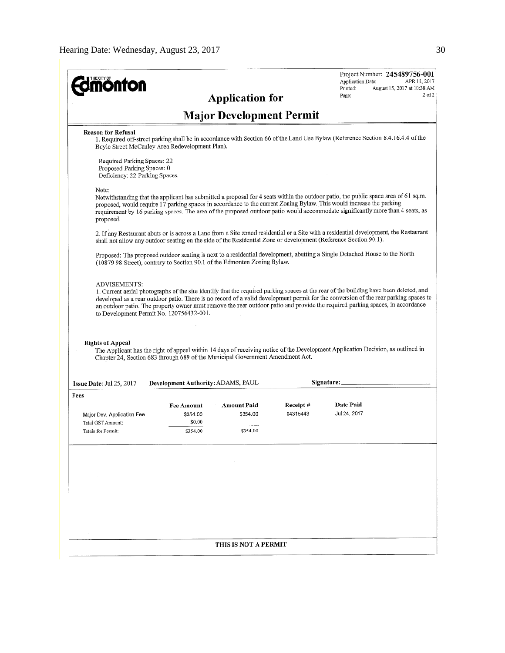| <b>mönton</b>                                                                                                                         |                                    |                                 |                      | Project Number: 245489756-001<br>Application Date:<br>APR 11, 2017                                                                                                                                                                                                                                                                                                                            |
|---------------------------------------------------------------------------------------------------------------------------------------|------------------------------------|---------------------------------|----------------------|-----------------------------------------------------------------------------------------------------------------------------------------------------------------------------------------------------------------------------------------------------------------------------------------------------------------------------------------------------------------------------------------------|
|                                                                                                                                       |                                    | <b>Application for</b>          |                      | Printed:<br>August 15, 2017 at 10:38 AM<br>2 of 2<br>Page:                                                                                                                                                                                                                                                                                                                                    |
|                                                                                                                                       |                                    | <b>Major Development Permit</b> |                      |                                                                                                                                                                                                                                                                                                                                                                                               |
| <b>Reason for Refusal</b><br>Boyle Street McCauley Area Redevelopment Plan).                                                          |                                    |                                 |                      | 1. Required off-street parking shall be in accordance with Section 66 of the Land Use Bylaw (Reference Section 8.4.16.4.4 of the                                                                                                                                                                                                                                                              |
| Required Parking Spaces: 22<br>Proposed Parking Spaces: 0<br>Deficiency: 22 Parking Spaces.                                           |                                    |                                 |                      |                                                                                                                                                                                                                                                                                                                                                                                               |
| Note:<br>proposed.                                                                                                                    |                                    |                                 |                      | Notwithstanding that the applicant has submitted a proposal for 4 seats within the outdoor patio, the public space area of 61 sq.m.<br>proposed, would require 17 parking spaces in accordance to the current Zoning Bylaw. This would increase the parking<br>requirement by 16 parking spaces. The area of the proposed outdoor patio would accommodate significantly more than 4 seats, as |
| shall not allow any outdoor seating on the side of the Residential Zone or development (Reference Section 90.1).                      |                                    |                                 |                      | 2. If any Restaurant abuts or is across a Lane from a Site zoned residential or a Site with a residential development, the Restaurant                                                                                                                                                                                                                                                         |
| (10879 98 Street), contrary to Section 90.1 of the Edmonton Zoning Bylaw.                                                             |                                    |                                 |                      | Proposed: The proposed outdoor seating is next to a residential development, abutting a Single Detached House to the North                                                                                                                                                                                                                                                                    |
| <b>Rights of Appeal</b><br>Chapter 24, Section 683 through 689 of the Municipal Government Amendment Act.<br>Issue Date: Jul 25, 2017 | Development Authority: ADAMS, PAUL |                                 |                      | The Applicant has the right of appeal within 14 days of receiving notice of the Development Application Decision, as outlined in<br>Signature:                                                                                                                                                                                                                                                |
| Fees                                                                                                                                  |                                    |                                 |                      |                                                                                                                                                                                                                                                                                                                                                                                               |
| Major Dev. Application Fee<br>Total GST Amount:                                                                                       | Fee Amount<br>\$354.00<br>\$0.00   | Amount Paid<br>\$354.00         | Receipt#<br>04315443 | Date Paid<br>Jul 24, 2017                                                                                                                                                                                                                                                                                                                                                                     |
| Totals for Permit:                                                                                                                    | \$354.00                           | \$354.00                        |                      |                                                                                                                                                                                                                                                                                                                                                                                               |
|                                                                                                                                       |                                    |                                 |                      |                                                                                                                                                                                                                                                                                                                                                                                               |
|                                                                                                                                       |                                    |                                 |                      |                                                                                                                                                                                                                                                                                                                                                                                               |
|                                                                                                                                       |                                    |                                 |                      |                                                                                                                                                                                                                                                                                                                                                                                               |
|                                                                                                                                       |                                    |                                 |                      |                                                                                                                                                                                                                                                                                                                                                                                               |
|                                                                                                                                       |                                    | THIS IS NOT A PERMIT            |                      |                                                                                                                                                                                                                                                                                                                                                                                               |
|                                                                                                                                       |                                    |                                 |                      |                                                                                                                                                                                                                                                                                                                                                                                               |